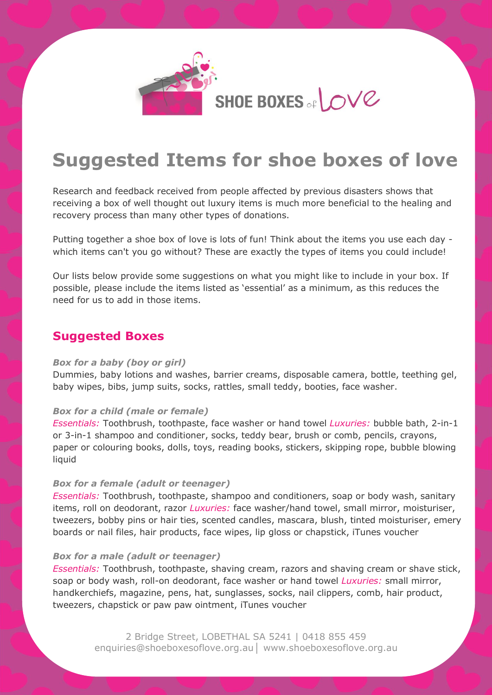

# **Suggested Items for shoe boxes of love**

Research and feedback received from people affected by previous disasters shows that receiving a box of well thought out luxury items is much more beneficial to the healing and recovery process than many other types of donations.

Putting together a shoe box of love is lots of fun! Think about the items you use each day which items can't you go without? These are exactly the types of items you could include!

Our lists below provide some suggestions on what you might like to include in your box. If possible, please include the items listed as 'essential' as a minimum, as this reduces the need for us to add in those items.

### **Suggested Boxes**

#### *Box for a baby (boy or girl)*

Dummies, baby lotions and washes, barrier creams, disposable camera, bottle, teething gel, baby wipes, bibs, jump suits, socks, rattles, small teddy, booties, face washer.

#### *Box for a child (male or female)*

*Essentials:* Toothbrush, toothpaste, face washer or hand towel *Luxuries:* bubble bath, 2-in-1 or 3-in-1 shampoo and conditioner, socks, teddy bear, brush or comb, pencils, crayons, paper or colouring books, dolls, toys, reading books, stickers, skipping rope, bubble blowing liquid

#### *Box for a female (adult or teenager)*

*Essentials:* Toothbrush, toothpaste, shampoo and conditioners, soap or body wash, sanitary items, roll on deodorant, razor *Luxuries:* face washer/hand towel, small mirror, moisturiser, tweezers, bobby pins or hair ties, scented candles, mascara, blush, tinted moisturiser, emery boards or nail files, hair products, face wipes, lip gloss or chapstick, iTunes voucher

#### *Box for a male (adult or teenager)*

*Essentials:* Toothbrush, toothpaste, shaving cream, razors and shaving cream or shave stick, soap or body wash, roll-on deodorant, face washer or hand towel *Luxuries:* small mirror, handkerchiefs, magazine, pens, hat, sunglasses, socks, nail clippers, comb, hair product, tweezers, chapstick or paw paw ointment, iTunes voucher

> 2 Bridge Street, LOBETHAL SA 5241 | 0418 855 459 enquiries@shoeboxesoflove.org.au│ www.shoeboxesoflove.org.au